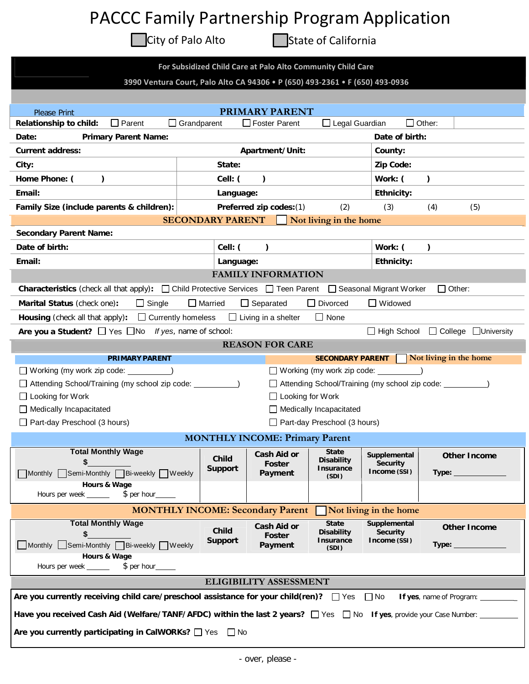## PACCC Family Partnership Program Application

City of Palo Alto **State of California** 

| For Subsidized Child Care at Palo Alto Community Child Care<br>3990 Ventura Court, Palo Alto CA 94306 . P (650) 493-2361 . F (650) 493-0936 |                                         |                                               |                                        |                                                          |                                |
|---------------------------------------------------------------------------------------------------------------------------------------------|-----------------------------------------|-----------------------------------------------|----------------------------------------|----------------------------------------------------------|--------------------------------|
|                                                                                                                                             |                                         |                                               |                                        |                                                          |                                |
|                                                                                                                                             |                                         |                                               |                                        |                                                          |                                |
| <b>Please Print</b><br>Relationship to child:<br>$\Box$ Parent                                                                              | $\Box$ Grandparent                      | <b>PRIMARY PARENT</b><br>$\Box$ Foster Parent | □ Legal Guardian                       |                                                          | $\Box$ Other:                  |
| <b>Primary Parent Name:</b><br>Date:                                                                                                        |                                         |                                               |                                        | Date of birth:                                           |                                |
| <b>Current address:</b>                                                                                                                     |                                         | Apartment/Unit:                               |                                        | County:                                                  |                                |
| City:                                                                                                                                       | State:                                  |                                               |                                        | Zip Code:                                                |                                |
| Home Phone: (<br>$\lambda$                                                                                                                  | Cell: (                                 | $\lambda$                                     |                                        | Work: (                                                  | $\lambda$                      |
| Email:                                                                                                                                      | Language:                               |                                               |                                        | <b>Ethnicity:</b>                                        |                                |
| Family Size (include parents & children):                                                                                                   |                                         | Preferred zip codes: (1)                      | (2)                                    | (3)                                                      | (4)<br>(5)                     |
|                                                                                                                                             | <b>SECONDARY PARENT</b>                 |                                               | Not living in the home                 |                                                          |                                |
| <b>Secondary Parent Name:</b>                                                                                                               |                                         |                                               |                                        |                                                          |                                |
| Date of birth:                                                                                                                              | Cell: (                                 | $\mathcal{L}$                                 |                                        | Work: (                                                  | $\lambda$                      |
| Email:                                                                                                                                      | Language:                               |                                               |                                        | <b>Ethnicity:</b>                                        |                                |
|                                                                                                                                             |                                         | <b>FAMILY INFORMATION</b>                     |                                        |                                                          |                                |
| <b>Characteristics</b> (check all that apply): $\Box$ Child Protective Services $\Box$ Teen Parent                                          |                                         |                                               |                                        | □ Seasonal Migrant Worker                                | $\Box$ Other:                  |
| $\Box$ Single<br>Marital Status (check one):                                                                                                | $\Box$ Married                          | $\Box$ Separated                              | $\Box$ Divorced                        | $\Box$ Widowed                                           |                                |
| $\Box$ Currently homeless<br>Housing (check all that apply):                                                                                |                                         | $\Box$ Living in a shelter                    | $\Box$ None                            |                                                          |                                |
| Are you a Student? $\Box$ Yes $\Box$ No If yes, name of school:                                                                             |                                         |                                               |                                        | $\Box$ High School                                       | □ College □University          |
|                                                                                                                                             |                                         | <b>REASON FOR CARE</b>                        |                                        |                                                          |                                |
| <b>PRIMARY PARENT</b>                                                                                                                       |                                         |                                               | <b>SECONDARY PARENT</b>                |                                                          | Not living in the home         |
| ◯ Working (my work zip code: _________                                                                                                      |                                         |                                               | $\Box$ Working (my work zip code: $\_$ |                                                          |                                |
| □ Attending School/Training (my school zip code: ____                                                                                       |                                         |                                               |                                        | □ Attending School/Training (my school zip code: _______ |                                |
| $\Box$ Looking for Work                                                                                                                     |                                         | $\Box$ Looking for Work                       |                                        |                                                          |                                |
| Medically Incapacitated                                                                                                                     |                                         |                                               | $\Box$ Medically Incapacitated         |                                                          |                                |
| Part-day Preschool (3 hours)                                                                                                                |                                         |                                               | Part-day Preschool (3 hours)           |                                                          |                                |
|                                                                                                                                             | <b>MONTHLY INCOME: Primary Parent</b>   |                                               |                                        |                                                          |                                |
| <b>Total Monthly Wage</b>                                                                                                                   | <b>Child</b>                            | Cash Aid or                                   | <b>State</b><br><b>Disability</b>      | Supplemental                                             | <b>Other Income</b>            |
| Monthly Semi-Monthly Bi-weekly Weekly                                                                                                       | <b>Support</b>                          | Foster<br>Payment                             | <b>Insurance</b><br>(SDI)              | <b>Security</b><br>Income (SSI)                          |                                |
|                                                                                                                                             |                                         |                                               |                                        |                                                          |                                |
| <b>Hours &amp; Wage</b>                                                                                                                     |                                         |                                               |                                        |                                                          |                                |
| Hours per week ________ \$ per hour___                                                                                                      |                                         |                                               |                                        |                                                          |                                |
|                                                                                                                                             | <b>MONTHLY INCOME: Secondary Parent</b> |                                               |                                        | Not living in the home                                   |                                |
| <b>Total Monthly Wage</b>                                                                                                                   |                                         | <b>Cash Aid or</b>                            | <b>State</b>                           | Supplemental                                             | <b>Other Income</b>            |
|                                                                                                                                             | Child<br><b>Support</b>                 | Foster                                        | <b>Disability</b><br>Insurance         | <b>Security</b><br>Income (SSI)                          |                                |
| Monthly Semi-Monthly Bi-weekly Weekly<br>Hours & Wage                                                                                       |                                         | Payment                                       | (SDI)                                  |                                                          |                                |
| Hours per week ______<br>$$$ per hour                                                                                                       |                                         |                                               |                                        |                                                          |                                |
|                                                                                                                                             |                                         | <b>ELIGIBILITY ASSESSMENT</b>                 |                                        |                                                          |                                |
| Are you currently receiving child care/preschool assistance for your child(ren)? $\Box$ Yes $\Box$ No                                       |                                         |                                               |                                        |                                                          | If yes, name of Program: _____ |
| Have you received Cash Aid (Welfare/TANF/AFDC) within the last 2 years? □ Yes □ No If yes, provide your Case Number: ____                   |                                         |                                               |                                        |                                                          |                                |
| Are you currently participating in CalWORKs? $\Box$ Yes $\Box$ No                                                                           |                                         |                                               |                                        |                                                          |                                |